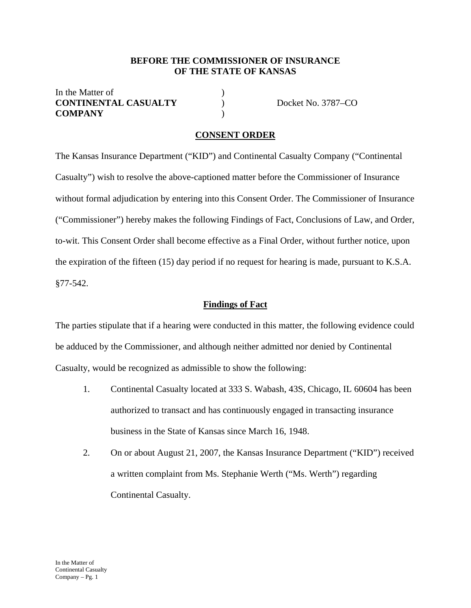#### **BEFORE THE COMMISSIONER OF INSURANCE OF THE STATE OF KANSAS**

In the Matter of  $\qquad \qquad$  ) **CONTINENTAL CASUALTY** ) Docket No. 3787–CO **COMPANY** )

#### **CONSENT ORDER**

The Kansas Insurance Department ("KID") and Continental Casualty Company ("Continental Casualty") wish to resolve the above-captioned matter before the Commissioner of Insurance without formal adjudication by entering into this Consent Order. The Commissioner of Insurance ("Commissioner") hereby makes the following Findings of Fact, Conclusions of Law, and Order, to-wit. This Consent Order shall become effective as a Final Order, without further notice, upon the expiration of the fifteen (15) day period if no request for hearing is made, pursuant to K.S.A. §77-542.

#### **Findings of Fact**

The parties stipulate that if a hearing were conducted in this matter, the following evidence could be adduced by the Commissioner, and although neither admitted nor denied by Continental Casualty, would be recognized as admissible to show the following:

- 1. Continental Casualty located at 333 S. Wabash, 43S, Chicago, IL 60604 has been authorized to transact and has continuously engaged in transacting insurance business in the State of Kansas since March 16, 1948.
- 2. On or about August 21, 2007, the Kansas Insurance Department ("KID") received a written complaint from Ms. Stephanie Werth ("Ms. Werth") regarding Continental Casualty.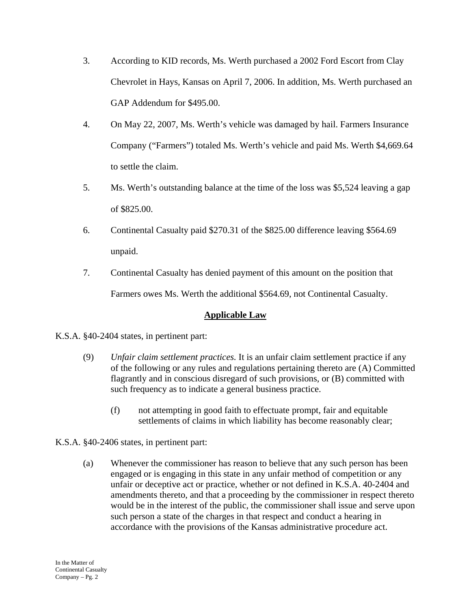- 3. According to KID records, Ms. Werth purchased a 2002 Ford Escort from Clay Chevrolet in Hays, Kansas on April 7, 2006. In addition, Ms. Werth purchased an GAP Addendum for \$495.00.
- 4. On May 22, 2007, Ms. Werth's vehicle was damaged by hail. Farmers Insurance Company ("Farmers") totaled Ms. Werth's vehicle and paid Ms. Werth \$4,669.64 to settle the claim.
- 5. Ms. Werth's outstanding balance at the time of the loss was \$5,524 leaving a gap of \$825.00.
- 6. Continental Casualty paid \$270.31 of the \$825.00 difference leaving \$564.69 unpaid.
- 7. Continental Casualty has denied payment of this amount on the position that Farmers owes Ms. Werth the additional \$564.69, not Continental Casualty.

# **Applicable Law**

K.S.A. §40-2404 states, in pertinent part:

- (9) *Unfair claim settlement practices.* It is an unfair claim settlement practice if any of the following or any rules and regulations pertaining thereto are (A) Committed flagrantly and in conscious disregard of such provisions, or (B) committed with such frequency as to indicate a general business practice.
	- (f) not attempting in good faith to effectuate prompt, fair and equitable settlements of claims in which liability has become reasonably clear;
- K.S.A. §40-2406 states, in pertinent part:
	- (a) Whenever the commissioner has reason to believe that any such person has been engaged or is engaging in this state in any unfair method of competition or any unfair or deceptive act or practice, whether or not defined in K.S.A. 40-2404 and amendments thereto, and that a proceeding by the commissioner in respect thereto would be in the interest of the public, the commissioner shall issue and serve upon such person a state of the charges in that respect and conduct a hearing in accordance with the provisions of the Kansas administrative procedure act.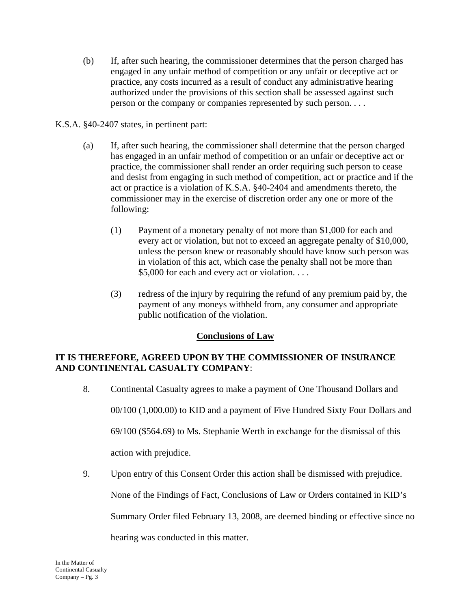- (b) If, after such hearing, the commissioner determines that the person charged has engaged in any unfair method of competition or any unfair or deceptive act or practice, any costs incurred as a result of conduct any administrative hearing authorized under the provisions of this section shall be assessed against such person or the company or companies represented by such person. . . .
- K.S.A. §40-2407 states, in pertinent part:
	- (a) If, after such hearing, the commissioner shall determine that the person charged has engaged in an unfair method of competition or an unfair or deceptive act or practice, the commissioner shall render an order requiring such person to cease and desist from engaging in such method of competition, act or practice and if the act or practice is a violation of K.S.A. §40-2404 and amendments thereto, the commissioner may in the exercise of discretion order any one or more of the following:
		- (1) Payment of a monetary penalty of not more than \$1,000 for each and every act or violation, but not to exceed an aggregate penalty of \$10,000, unless the person knew or reasonably should have know such person was in violation of this act, which case the penalty shall not be more than \$5,000 for each and every act or violation. . . .
		- (3) redress of the injury by requiring the refund of any premium paid by, the payment of any moneys withheld from, any consumer and appropriate public notification of the violation.

# **Conclusions of Law**

# **IT IS THEREFORE, AGREED UPON BY THE COMMISSIONER OF INSURANCE AND CONTINENTAL CASUALTY COMPANY**:

- 8. Continental Casualty agrees to make a payment of One Thousand Dollars and 00/100 (1,000.00) to KID and a payment of Five Hundred Sixty Four Dollars and 69/100 (\$564.69) to Ms. Stephanie Werth in exchange for the dismissal of this action with prejudice.
- 9. Upon entry of this Consent Order this action shall be dismissed with prejudice.

None of the Findings of Fact, Conclusions of Law or Orders contained in KID's

Summary Order filed February 13, 2008, are deemed binding or effective since no

hearing was conducted in this matter.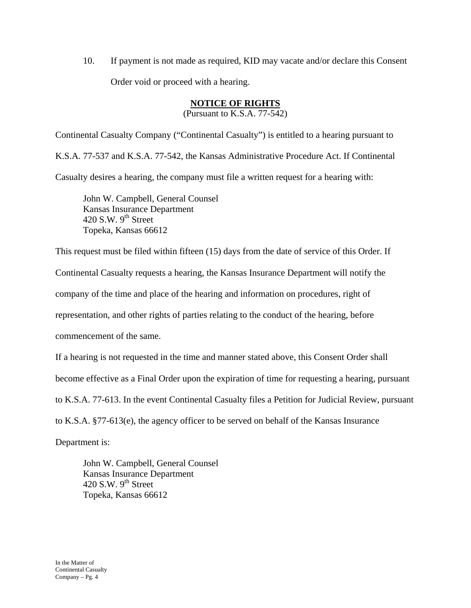10. If payment is not made as required, KID may vacate and/or declare this Consent Order void or proceed with a hearing.

### **NOTICE OF RIGHTS**

(Pursuant to K.S.A. 77-542)

Continental Casualty Company ("Continental Casualty") is entitled to a hearing pursuant to K.S.A. 77-537 and K.S.A. 77-542, the Kansas Administrative Procedure Act. If Continental Casualty desires a hearing, the company must file a written request for a hearing with:

 John W. Campbell, General Counsel Kansas Insurance Department 420 S.W.  $9<sup>th</sup>$  Street Topeka, Kansas 66612

This request must be filed within fifteen (15) days from the date of service of this Order. If

Continental Casualty requests a hearing, the Kansas Insurance Department will notify the

company of the time and place of the hearing and information on procedures, right of

representation, and other rights of parties relating to the conduct of the hearing, before

commencement of the same.

If a hearing is not requested in the time and manner stated above, this Consent Order shall

become effective as a Final Order upon the expiration of time for requesting a hearing, pursuant

to K.S.A. 77-613. In the event Continental Casualty files a Petition for Judicial Review, pursuant

to K.S.A. §77-613(e), the agency officer to be served on behalf of the Kansas Insurance

Department is:

 John W. Campbell, General Counsel Kansas Insurance Department 420 S.W.  $9<sup>th</sup>$  Street Topeka, Kansas 66612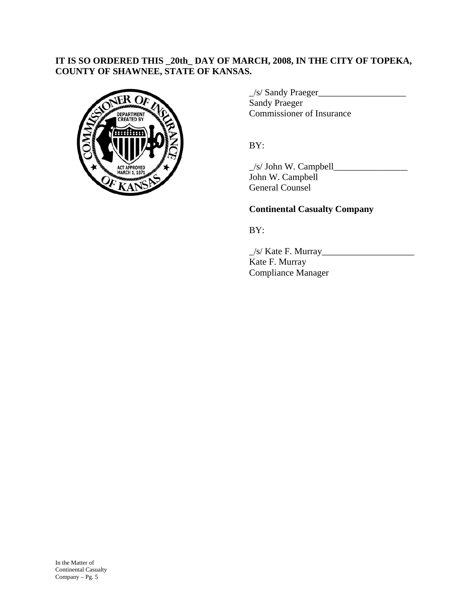### **IT IS SO ORDERED THIS \_20th\_ DAY OF MARCH, 2008, IN THE CITY OF TOPEKA, COUNTY OF SHAWNEE, STATE OF KANSAS.**



 \_/s/ Sandy Praeger\_\_\_\_\_\_\_\_\_\_\_\_\_\_\_\_\_\_\_ Sandy Praeger DEPARTMENT COMMISSIONER OF Insurance

\_/s/ John W. Campbell\_\_\_\_\_\_\_\_\_\_\_\_\_\_\_\_ John W. Campbell General Counsel

### **Continental Casualty Company**

BY:

 $\angle$ s/ Kate F. Murray $\angle$  Kate F. Murray Compliance Manager